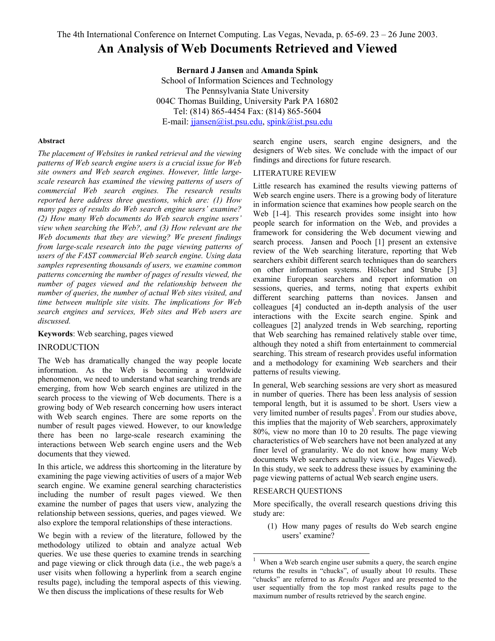# **An Analysis of Web Documents Retrieved and Viewed**

**Bernard J Jansen** and **Amanda Spink** School of Information Sciences and Technology The Pennsylvania State University 004C Thomas Building, University Park PA 16802 Tel: (814) 865-4454 Fax: (814) 865-5604 E-mail: [jjansen@ist.psu.edu,](mailto:jjansen@ist.psu.edu) [spink@ist.psu.edu](mailto:spink@ist.psu.edu)

#### **Abstract**

*The placement of Websites in ranked retrieval and the viewing patterns of Web search engine users is a crucial issue for Web site owners and Web search engines. However, little largescale research has examined the viewing patterns of users of commercial Web search engines. The research results reported here address three questions, which are: (1) How many pages of results do Web search engine users' examine? (2) How many Web documents do Web search engine users' view when searching the Web?, and (3) How relevant are the Web documents that they are viewing? We present findings from large-scale research into the page viewing patterns of users of the FAST commercial Web search engine. Using data samples representing thousands of users, we examine common patterns concerning the number of pages of results viewed, the number of pages viewed and the relationship between the number of queries, the number of actual Web sites visited, and time between multiple site visits. The implications for Web search engines and services, Web sites and Web users are discussed.* 

**Keywords**: Web searching, pages viewed

# INRODUCTION

The Web has dramatically changed the way people locate information. As the Web is becoming a worldwide phenomenon, we need to understand what searching trends are emerging, from how Web search engines are utilized in the search process to the viewing of Web documents. There is a growing body of Web research concerning how users interact with Web search engines. There are some reports on the number of result pages viewed. However, to our knowledge there has been no large-scale research examining the interactions between Web search engine users and the Web documents that they viewed.

In this article, we address this shortcoming in the literature by examining the page viewing activities of users of a major Web search engine. We examine general searching characteristics including the number of result pages viewed. We then examine the number of pages that users view, analyzing the relationship between sessions, queries, and pages viewed. We also explore the temporal relationships of these interactions.

We begin with a review of the literature, followed by the methodology utilized to obtain and analyze actual Web queries. We use these queries to examine trends in searching and page viewing or click through data (i.e., the web page/s a user visits when following a hyperlink from a search engine results page), including the temporal aspects of this viewing. We then discuss the implications of these results for Web

search engine users, search engine designers, and the designers of Web sites. We conclude with the impact of our findings and directions for future research.

# LITERATURE REVIEW

Little research has examined the results viewing patterns of Web search engine users. There is a growing body of literature in information science that examines how people search on the Web [1-4]. This research provides some insight into how people search for information on the Web, and provides a framework for considering the Web document viewing and search process. Jansen and Pooch [1] present an extensive review of the Web searching literature, reporting that Web searchers exhibit different search techniques than do searchers on other information systems. Hölscher and Strube [3] examine European searchers and report information on sessions, queries, and terms, noting that experts exhibit different searching patterns than novices. Jansen and colleagues [4] conducted an in-depth analysis of the user interactions with the Excite search engine. Spink and colleagues [2] analyzed trends in Web searching, reporting that Web searching has remained relatively stable over time, although they noted a shift from entertainment to commercial searching. This stream of research provides useful information and a methodology for examining Web searchers and their patterns of results viewing.

In general, Web searching sessions are very short as measured in number of queries. There has been less analysis of session temporal length, but it is assumed to be short. Users view a very limited number of results pages<sup>1</sup>[.](#page-0-0) From our studies above, this implies that the majority of Web searchers, approximately 80%, view no more than 10 to 20 results. The page viewing characteristics of Web searchers have not been analyzed at any finer level of granularity. We do not know how many Web documents Web searchers actually view (i.e., Pages Viewed). In this study, we seek to address these issues by examining the page viewing patterns of actual Web search engine users.

## RESEARCH QUESTIONS

 $\overline{a}$ 

More specifically, the overall research questions driving this study are:

(1) How many pages of results do Web search engine users' examine?

<span id="page-0-0"></span><sup>1</sup> When a Web search engine user submits a query, the search engine returns the results in "chucks", of usually about 10 results. These "chucks" are referred to as *Results Pages* and are presented to the user sequentially from the top most ranked results page to the maximum number of results retrieved by the search engine.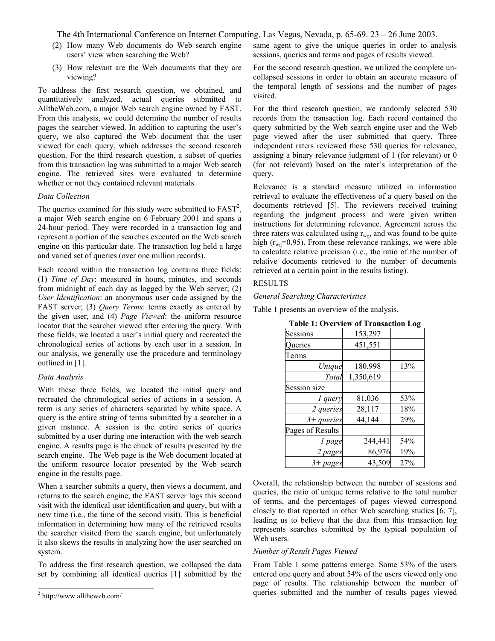- (2) How many Web documents do Web search engine users' view when searching the Web?
- (3) How relevant are the Web documents that they are viewing?

To address the first research question, we obtained, and quantitatively analyzed, actual queries submitted to AlltheWeb.com, a major Web search engine owned by FAST. From this analysis, we could determine the number of results pages the searcher viewed. In addition to capturing the user's query, we also captured the Web document that the user viewed for each query, which addresses the second research question. For the third research question, a subset of queries from this transaction log was submitted to a major Web search engine. The retrieved sites were evaluated to determine whether or not they contained relevant materials.

#### *Data Collection*

The queries examined for this study were submitted to  $FAST<sup>2</sup>$ , a major Web search engine on 6 February 2001 and spans a 24-hour period. They were recorded in a transaction log and represent a portion of the searches executed on the Web search engine on this particular date. The transaction log held a large and varied set of queries (over one million records).

Each record within the transaction log contains three fields: (1) *Time of Day*: measured in hours, minutes, and seconds from midnight of each day as logged by the Web server; (2) *User Identification*: an anonymous user code assigned by the FAST server; (3) *Query Terms*: terms exactly as entered by the given user, and (4) *Page Viewed*: the uniform resource locator that the searcher viewed after entering the query. With these fields, we located a user's initial query and recreated the chronological series of actions by each user in a session. In our analysis, we generally use the procedure and terminology outlined in [1].

#### *Data Analysis*

With these three fields, we located the initial query and recreated the chronological series of actions in a session. A term is any series of characters separated by white space. A query is the entire string of terms submitted by a searcher in a given instance. A session is the entire series of queries submitted by a user during one interaction with the web search engine. A results page is the chuck of results presented by the search engine. The Web page is the Web document located at the uniform resource locator presented by the Web search engine in the results page.

When a searcher submits a query, then views a document, and returns to the search engine, the FAST server logs this second visit with the identical user identification and query, but with a new time (i.e., the time of the second visit). This is beneficial information in determining how many of the retrieved results the searcher visited from the search engine, but unfortunately it also skews the results in analyzing how the user searched on system.

To address the first research question, we collapsed the data set by combining all identical queries [1] submitted by the

-

same agent to give the unique queries in order to analysis sessions, queries and terms and pages of results viewed.

For the second research question, we utilized the complete uncollapsed sessions in order to obtain an accurate measure of the temporal length of sessions and the number of pages visited.

For the third research question, we randomly selected 530 records from the transaction log. Each record contained the query submitted by the Web search engine user and the Web page viewed after the user submitted that query. Three independent raters reviewed these 530 queries for relevance, assigning a binary relevance judgment of 1 (for relevant) or 0 (for not relevant) based on the rater's interpretation of the query.

Relevance is a standard measure utilized in information retrieval to evaluate the effectiveness of a query based on the documents retrieved [5]. The reviewers received training regarding the judgment process and were given written instructions for determining relevance. Agreement across the three raters was calculated using  $r_{wg}$ , and was found to be quite high ( $r_{we}$ =0.95). From these relevance rankings, we were able to calculate relative precision (i.e., the ratio of the number of relative documents retrieved to the number of documents retrieved at a certain point in the results listing).

#### RESULTS

#### *General Searching Characteristics*

Table 1 presents an overview of the analysis.

| <b>Table 1: Overview of Transaction Log</b> |           |     |
|---------------------------------------------|-----------|-----|
| Sessions                                    | 153,297   |     |
| Queries                                     | 451,551   |     |
| Terms                                       |           |     |
| Unique                                      | 180,998   | 13% |
| Total                                       | 1,350,619 |     |
| Session size                                |           |     |
| 1 query                                     | 81,036    | 53% |
| 2 queries                                   | 28,117    | 18% |
| $3 + queries$                               | 44,144    | 29% |
| Pages of Results                            |           |     |

*1 page* 244,441 54% *2 pages* 86,976 19% *3+ pages* 43,509 27%

**Table 1: Overview of Transaction Log**

Overall, the relationship between the number of sessions and queries, the ratio of unique terms relative to the total number of terms, and the percentages of pages viewed correspond closely to that reported in other Web searching studies [6, 7], leading us to believe that the data from this transaction log represents searches submitted by the typical population of Web users.

## *Number of Result Pages Viewed*

From Table 1 some patterns emerge. Some 53% of the users entered one query and about 54% of the users viewed only one page of results. The relationship between the number of queries submitted and the number of results pages viewed

<span id="page-1-0"></span><sup>2</sup> http://www.alltheweb.com/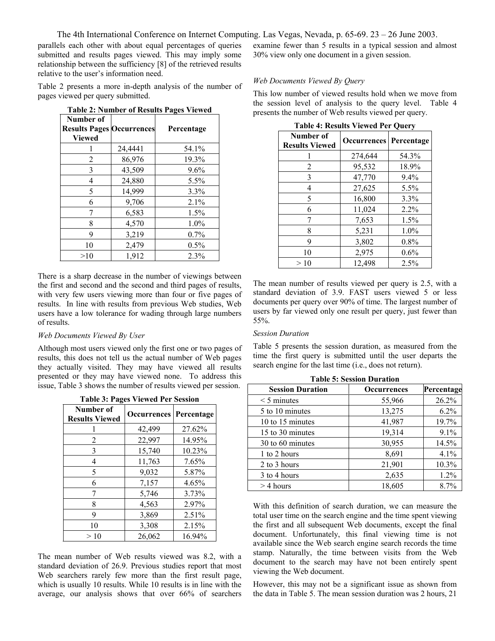parallels each other with about equal percentages of queries submitted and results pages viewed. This may imply some relationship between the sufficiency [8] of the retrieved results relative to the user's information need.

Table 2 presents a more in-depth analysis of the number of pages viewed per query submitted.

| $1400 \times 14000$                                            |         |            |  |
|----------------------------------------------------------------|---------|------------|--|
| Number of<br><b>Results Pages Occurrences</b><br><b>Viewed</b> |         | Percentage |  |
|                                                                | 24,4441 | 54.1%      |  |
| 2                                                              | 86,976  | 19.3%      |  |
| 3                                                              | 43,509  | 9.6%       |  |
| 4                                                              | 24,880  | 5.5%       |  |
| 5                                                              | 14,999  | 3.3%       |  |
| 6                                                              | 9,706   | 2.1%       |  |
| 7                                                              | 6,583   | 1.5%       |  |
| 8                                                              | 4,570   | $1.0\%$    |  |
| 9                                                              | 3,219   | $0.7\%$    |  |
| 10                                                             | 2,479   | $0.5\%$    |  |
| >10                                                            | 1,912   | 2.3%       |  |

**Table 2: Number of Results Pages Viewed** 

There is a sharp decrease in the number of viewings between the first and second and the second and third pages of results, with very few users viewing more than four or five pages of results. In line with results from previous Web studies, Web users have a low tolerance for wading through large numbers of results.

#### *Web Documents Viewed By User*

Although most users viewed only the first one or two pages of results, this does not tell us the actual number of Web pages they actually visited. They may have viewed all results presented or they may have viewed none. To address this issue, Table 3 shows the number of results viewed per session.

| <b>Table 3: Pages Viewed Per Session</b> |                    |            |
|------------------------------------------|--------------------|------------|
| Number of<br><b>Results Viewed</b>       | <b>Occurrences</b> | Percentage |
|                                          | 42,499             | 27.62%     |
| 2                                        | 22,997             | 14.95%     |
| 3                                        | 15,740             | 10.23%     |
| 4                                        | 11,763             | 7.65%      |
| 5                                        | 9,032              | 5.87%      |
| 6                                        | 7,157              | 4.65%      |
| 7                                        | 5,746              | 3.73%      |
| 8                                        | 4,563              | 2.97%      |
| 9                                        | 3,869              | 2.51%      |
| 10                                       | 3,308              | 2.15%      |
| >10                                      | 26,062             | 16.94%     |

The mean number of Web results viewed was 8.2, with a standard deviation of 26.9. Previous studies report that most Web searchers rarely few more than the first result page, which is usually 10 results. While 10 results is in line with the average, our analysis shows that over 66% of searchers

examine fewer than 5 results in a typical session and almost 30% view only one document in a given session.

#### *Web Documents Viewed By Query*

This low number of viewed results hold when we move from the session level of analysis to the query level. Table 4 presents the number of Web results viewed per query.

| Table 4. Results viewed Fel Quely  |                    |            |
|------------------------------------|--------------------|------------|
| Number of<br><b>Results Viewed</b> | <b>Occurrences</b> | Percentage |
|                                    | 274,644            | 54.3%      |
| 2                                  | 95,532             | 18.9%      |
| 3                                  | 47,770             | 9.4%       |
| 4                                  | 27,625             | 5.5%       |
| 5                                  | 16,800             | 3.3%       |
| 6                                  | 11,024             | 2.2%       |
|                                    | 7,653              | 1.5%       |
| 8                                  | 5,231              | 1.0%       |
| 9                                  | 3,802              | $0.8\%$    |
| 10                                 | 2,975              | 0.6%       |
| >10                                | 12,498             | 2.5%       |

**Table 4: Results Viewed Per Query** 

The mean number of results viewed per query is 2.5, with a standard deviation of 3.9. FAST users viewed 5 or less documents per query over 90% of time. The largest number of users by far viewed only one result per query, just fewer than 55%.

# *Session Duration*

Table 5 presents the session duration, as measured from the time the first query is submitted until the user departs the search engine for the last time (i.e., does not return).

| <b>Session Duration</b> | <b>Occurrences</b> | Percentage |
|-------------------------|--------------------|------------|
| $\leq$ 5 minutes        | 55,966             | 26.2%      |
| 5 to 10 minutes         | 13,275             | $6.2\%$    |
| 10 to 15 minutes        | 41,987             | 19.7%      |
| 15 to 30 minutes        | 19,314             | 9.1%       |
| 30 to 60 minutes        | 30,955             | 14.5%      |
| 1 to 2 hours            | 8,691              | 4.1%       |
| 2 to 3 hours            | 21,901             | 10.3%      |
| 3 to 4 hours            | 2,635              | 1.2%       |
| $>$ 4 hours             | 18,605             | 8.7%       |

**Table 5: Session Duration** 

With this definition of search duration, we can measure the total user time on the search engine and the time spent viewing the first and all subsequent Web documents, except the final document. Unfortunately, this final viewing time is not available since the Web search engine search records the time stamp. Naturally, the time between visits from the Web document to the search may have not been entirely spent viewing the Web document.

However, this may not be a significant issue as shown from the data in Table 5. The mean session duration was 2 hours, 21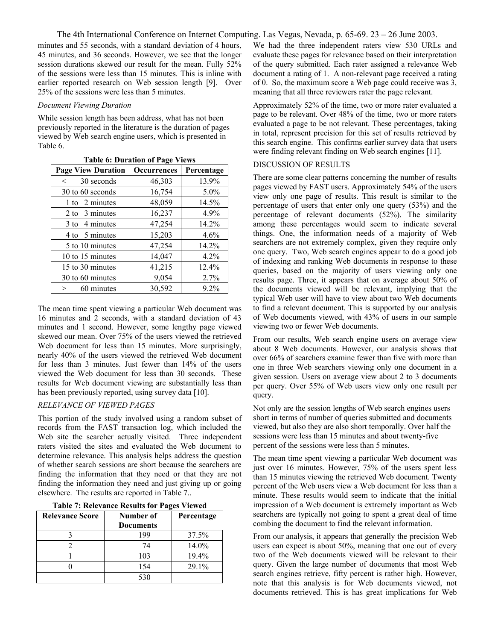minutes and 55 seconds, with a standard deviation of 4 hours, 45 minutes, and 36 seconds. However, we see that the longer session durations skewed our result for the mean. Fully 52% of the sessions were less than 15 minutes. This is inline with earlier reported research on Web session length [9]. Over 25% of the sessions were less than 5 minutes.

#### *Document Viewing Duration*

While session length has been address, what has not been previously reported in the literature is the duration of pages viewed by Web search engine users, which is presented in Table 6.

| <b>Page View Duration</b> | <b>Occurrences</b> | Percentage |
|---------------------------|--------------------|------------|
| 30 seconds<br>$\lt$       | 46,303             | 13.9%      |
| 30 to 60 seconds          | 16,754             | $5.0\%$    |
| 1 to 2 minutes            | 48,059             | 14.5%      |
| 2 to 3 minutes            | 16,237             | 4.9%       |
| 3 to 4 minutes            | 47,254             | 14.2%      |
| 4 to 5 minutes            | 15,203             | 4.6%       |
| 5 to 10 minutes           | 47,254             | 14.2%      |
| 10 to 15 minutes          | 14,047             | $4.2\%$    |
| 15 to 30 minutes          | 41,215             | 12.4%      |
| 30 to 60 minutes          | 9,054              | 2.7%       |
| 60 minutes<br>$\geq$      | 30,592             | 9.2%       |

**Table 6: Duration of Page Views** 

The mean time spent viewing a particular Web document was 16 minutes and 2 seconds, with a standard deviation of 43 minutes and 1 second. However, some lengthy page viewed skewed our mean. Over 75% of the users viewed the retrieved Web document for less than 15 minutes. More surprisingly, nearly 40% of the users viewed the retrieved Web document for less than 3 minutes. Just fewer than 14% of the users viewed the Web document for less than 30 seconds. These results for Web document viewing are substantially less than has been previously reported, using survey data [10].

# *RELEVANCE OF VIEWED PAGES*

This portion of the study involved using a random subset of records from the FAST transaction log, which included the Web site the searcher actually visited. Three independent raters visited the sites and evaluated the Web document to determine relevance. This analysis helps address the question of whether search sessions are short because the searchers are finding the information that they need or that they are not finding the information they need and just giving up or going elsewhere. The results are reported in Table 7..

| <b>Relevance Score</b> | Number of        | Percentage |
|------------------------|------------------|------------|
|                        | <b>Documents</b> |            |
|                        | 199              | 37.5%      |
|                        | 74               | 14.0%      |
|                        | 103              | 19.4%      |
|                        | 154              | 29.1%      |
|                        | 530              |            |

We had the three independent raters view 530 URLs and evaluate these pages for relevance based on their interpretation of the query submitted. Each rater assigned a relevance Web document a rating of 1. A non-relevant page received a rating of 0. So, the maximum score a Web page could receive was 3, meaning that all three reviewers rater the page relevant.

Approximately 52% of the time, two or more rater evaluated a page to be relevant. Over 48% of the time, two or more raters evaluated a page to be not relevant. These percentages, taking in total, represent precision for this set of results retrieved by this search engine. This confirms earlier survey data that users were finding relevant finding on Web search engines [11].

# DISCUSSION OF RESULTS

There are some clear patterns concerning the number of results pages viewed by FAST users. Approximately 54% of the users view only one page of results. This result is similar to the percentage of users that enter only one query (53%) and the percentage of relevant documents (52%). The similarity among these percentages would seem to indicate several things. One, the information needs of a majority of Web searchers are not extremely complex, given they require only one query. Two, Web search engines appear to do a good job of indexing and ranking Web documents in response to these queries, based on the majority of users viewing only one results page. Three, it appears that on average about 50% of the documents viewed will be relevant, implying that the typical Web user will have to view about two Web documents to find a relevant document. This is supported by our analysis of Web documents viewed, with 43% of users in our sample viewing two or fewer Web documents.

From our results, Web search engine users on average view about 8 Web documents. However, our analysis shows that over 66% of searchers examine fewer than five with more than one in three Web searchers viewing only one document in a given session. Users on average view about 2 to 3 documents per query. Over 55% of Web users view only one result per query.

Not only are the session lengths of Web search engines users short in terms of number of queries submitted and documents viewed, but also they are also short temporally. Over half the sessions were less than 15 minutes and about twenty-five percent of the sessions were less than 5 minutes.

The mean time spent viewing a particular Web document was just over 16 minutes. However, 75% of the users spent less than 15 minutes viewing the retrieved Web document. Twenty percent of the Web users view a Web document for less than a minute. These results would seem to indicate that the initial impression of a Web document is extremely important as Web searchers are typically not going to spent a great deal of time combing the document to find the relevant information.

From our analysis, it appears that generally the precision Web users can expect is about 50%, meaning that one out of every two of the Web documents viewed will be relevant to their query. Given the large number of documents that most Web search engines retrieve, fifty percent is rather high. However, note that this analysis is for Web documents viewed, not documents retrieved. This is has great implications for Web